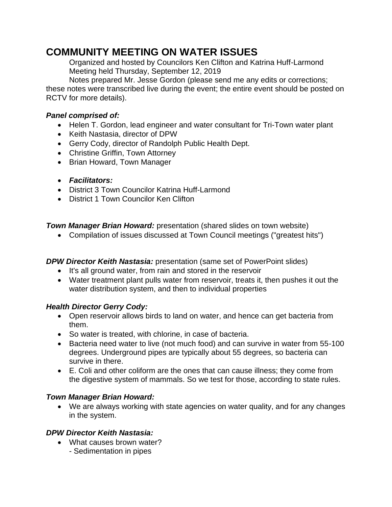# **COMMUNITY MEETING ON WATER ISSUES**

Organized and hosted by Councilors Ken Clifton and Katrina Huff-Larmond Meeting held Thursday, September 12, 2019

Notes prepared Mr. Jesse Gordon (please send me any edits or corrections; these notes were transcribed live during the event; the entire event should be posted on RCTV for more details).

#### *Panel comprised of:*

- Helen T. Gordon, lead engineer and water consultant for Tri-Town water plant
- Keith Nastasia, director of DPW
- Gerry Cody, director of Randolph Public Health Dept.
- Christine Griffin, Town Attorney
- Brian Howard, Town Manager
- *Facilitators:*
- District 3 Town Councilor Katrina Huff-Larmond
- District 1 Town Councilor Ken Clifton

*Town Manager Brian Howard:* presentation (shared slides on town website)

• Compilation of issues discussed at Town Council meetings ("greatest hits")

## *DPW Director Keith Nastasia:* presentation (same set of PowerPoint slides)

- It's all ground water, from rain and stored in the reservoir
- Water treatment plant pulls water from reservoir, treats it, then pushes it out the water distribution system, and then to individual properties

## *Health Director Gerry Cody:*

- Open reservoir allows birds to land on water, and hence can get bacteria from them.
- So water is treated, with chlorine, in case of bacteria.
- Bacteria need water to live (not much food) and can survive in water from 55-100 degrees. Underground pipes are typically about 55 degrees, so bacteria can survive in there.
- E. Coli and other coliform are the ones that can cause illness; they come from the digestive system of mammals. So we test for those, according to state rules.

## *Town Manager Brian Howard:*

• We are always working with state agencies on water quality, and for any changes in the system.

#### *DPW Director Keith Nastasia:*

- What causes brown water?
	- Sedimentation in pipes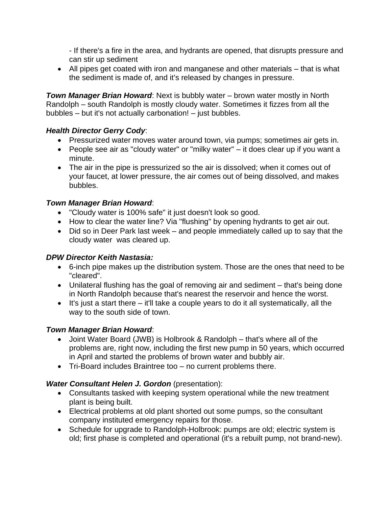- If there's a fire in the area, and hydrants are opened, that disrupts pressure and can stir up sediment

• All pipes get coated with iron and manganese and other materials – that is what the sediment is made of, and it's released by changes in pressure.

*Town Manager Brian Howard*: Next is bubbly water – brown water mostly in North Randolph – south Randolph is mostly cloudy water. Sometimes it fizzes from all the bubbles – but it's not actually carbonation! – just bubbles.

#### *Health Director Gerry Cody*:

- Pressurized water moves water around town, via pumps; sometimes air gets in.
- People see air as "cloudy water" or "milky water" it does clear up if you want a minute.
- The air in the pipe is pressurized so the air is dissolved; when it comes out of your faucet, at lower pressure, the air comes out of being dissolved, and makes bubbles.

#### *Town Manager Brian Howard*:

- "Cloudy water is 100% safe" it just doesn't look so good.
- How to clear the water line? Via "flushing" by opening hydrants to get air out.
- Did so in Deer Park last week and people immediately called up to say that the cloudy water was cleared up.

#### *DPW Director Keith Nastasia:*

- 6-inch pipe makes up the distribution system. Those are the ones that need to be "cleared".
- Unilateral flushing has the goal of removing air and sediment that's being done in North Randolph because that's nearest the reservoir and hence the worst.
- It's just a start there it'll take a couple years to do it all systematically, all the way to the south side of town.

## *Town Manager Brian Howard*:

- Joint Water Board (JWB) is Holbrook & Randolph that's where all of the problems are, right now, including the first new pump in 50 years, which occurred in April and started the problems of brown water and bubbly air.
- Tri-Board includes Braintree too no current problems there.

## *Water Consultant Helen J. Gordon* (presentation):

- Consultants tasked with keeping system operational while the new treatment plant is being built.
- Electrical problems at old plant shorted out some pumps, so the consultant company instituted emergency repairs for those.
- Schedule for upgrade to Randolph-Holbrook: pumps are old; electric system is old; first phase is completed and operational (it's a rebuilt pump, not brand-new).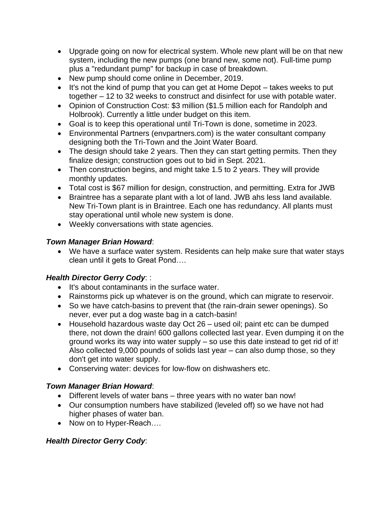- Upgrade going on now for electrical system. Whole new plant will be on that new system, including the new pumps (one brand new, some not). Full-time pump plus a "redundant pump" for backup in case of breakdown.
- New pump should come online in December, 2019.
- It's not the kind of pump that you can get at Home Depot takes weeks to put together – 12 to 32 weeks to construct and disinfect for use with potable water.
- Opinion of Construction Cost: \$3 million (\$1.5 million each for Randolph and Holbrook). Currently a little under budget on this item.
- Goal is to keep this operational until Tri-Town is done, sometime in 2023.
- Environmental Partners (envpartners.com) is the water consultant company designing both the Tri-Town and the Joint Water Board.
- The design should take 2 years. Then they can start getting permits. Then they finalize design; construction goes out to bid in Sept. 2021.
- Then construction begins, and might take 1.5 to 2 years. They will provide monthly updates.
- Total cost is \$67 million for design, construction, and permitting. Extra for JWB
- Braintree has a separate plant with a lot of land. JWB ahs less land available. New Tri-Town plant is in Braintree. Each one has redundancy. All plants must stay operational until whole new system is done.
- Weekly conversations with state agencies.

#### *Town Manager Brian Howard*:

• We have a surface water system. Residents can help make sure that water stays clean until it gets to Great Pond….

## *Health Director Gerry Cody*: :

- It's about contaminants in the surface water.
- Rainstorms pick up whatever is on the ground, which can migrate to reservoir.
- So we have catch-basins to prevent that (the rain-drain sewer openings). So never, ever put a dog waste bag in a catch-basin!
- Household hazardous waste day Oct 26 used oil; paint etc can be dumped there, not down the drain! 600 gallons collected last year. Even dumping it on the ground works its way into water supply – so use this date instead to get rid of it! Also collected 9,000 pounds of solids last year – can also dump those, so they don't get into water supply.
- Conserving water: devices for low-flow on dishwashers etc.

## *Town Manager Brian Howard*:

- Different levels of water bans three years with no water ban now!
- Our consumption numbers have stabilized (leveled off) so we have not had higher phases of water ban.
- Now on to Hyper-Reach....

# *Health Director Gerry Cody*: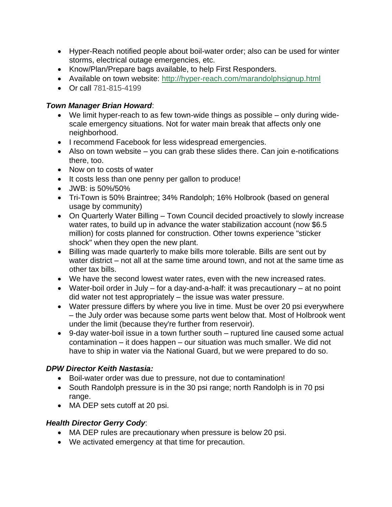- Hyper-Reach notified people about boil-water order; also can be used for winter storms, electrical outage emergencies, etc.
- Know/Plan/Prepare bags available, to help First Responders.
- Available on town website: <http://hyper-reach.com/marandolphsignup.html>
- Or call 781-815-4199

#### *Town Manager Brian Howard*:

- We limit hyper-reach to as few town-wide things as possible only during widescale emergency situations. Not for water main break that affects only one neighborhood.
- I recommend Facebook for less widespread emergencies.
- Also on town website you can grab these slides there. Can join e-notifications there, too.
- Now on to costs of water
- It costs less than one penny per gallon to produce!
- JWB: is 50%/50%
- Tri-Town is 50% Braintree; 34% Randolph; 16% Holbrook (based on general usage by community)
- On Quarterly Water Billing Town Council decided proactively to slowly increase water rates, to build up in advance the water stabilization account (now \$6.5 million) for costs planned for construction. Other towns experience "sticker shock" when they open the new plant.
- Billing was made quarterly to make bills more tolerable. Bills are sent out by water district – not all at the same time around town, and not at the same time as other tax bills.
- We have the second lowest water rates, even with the new increased rates.
- Water-boil order in July for a day-and-a-half: it was precautionary at no point did water not test appropriately – the issue was water pressure.
- Water pressure differs by where you live in time. Must be over 20 psi everywhere – the July order was because some parts went below that. Most of Holbrook went under the limit (because they're further from reservoir).
- 9-day water-boil issue in a town further south ruptured line caused some actual contamination – it does happen – our situation was much smaller. We did not have to ship in water via the National Guard, but we were prepared to do so.

## *DPW Director Keith Nastasia:*

- Boil-water order was due to pressure, not due to contamination!
- South Randolph pressure is in the 30 psi range; north Randolph is in 70 psi range.
- MA DEP sets cutoff at 20 psi.

## *Health Director Gerry Cody*:

- MA DEP rules are precautionary when pressure is below 20 psi.
- We activated emergency at that time for precaution.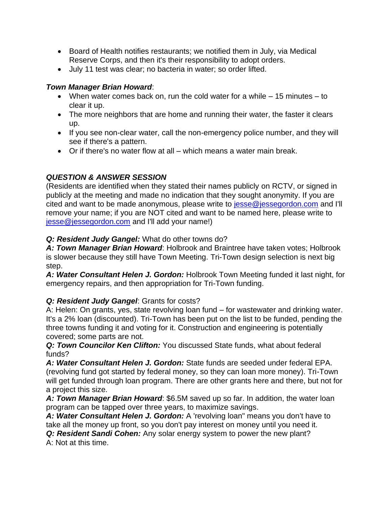- Board of Health notifies restaurants; we notified them in July, via Medical Reserve Corps, and then it's their responsibility to adopt orders.
- July 11 test was clear; no bacteria in water; so order lifted.

#### *Town Manager Brian Howard*:

- When water comes back on, run the cold water for a while 15 minutes to clear it up.
- The more neighbors that are home and running their water, the faster it clears up.
- If you see non-clear water, call the non-emergency police number, and they will see if there's a pattern.
- Or if there's no water flow at all which means a water main break.

## *QUESTION & ANSWER SESSION*

(Residents are identified when they stated their names publicly on RCTV, or signed in publicly at the meeting and made no indication that they sought anonymity. If you are cited and want to be made anonymous, please write to [jesse@jessegordon.com](mailto:jesse@jessegordon.com) and I'll remove your name; if you are NOT cited and want to be named here, please write to [jesse@jessegordon.com](mailto:jesse@jessegordon.com) and I'll add your name!)

#### *Q: Resident Judy Gangel:* What do other towns do?

*A: Town Manager Brian Howard*: Holbrook and Braintree have taken votes; Holbrook is slower because they still have Town Meeting. Tri-Town design selection is next big step.

*A: Water Consultant Helen J. Gordon:* Holbrook Town Meeting funded it last night, for emergency repairs, and then appropriation for Tri-Town funding.

## *Q: Resident Judy Gangel*: Grants for costs?

A: Helen: On grants, yes, state revolving loan fund – for wastewater and drinking water. It's a 2% loan (discounted). Tri-Town has been put on the list to be funded, pending the three towns funding it and voting for it. Construction and engineering is potentially covered; some parts are not.

*Q: Town Councilor Ken Clifton:* You discussed State funds, what about federal funds?

*A: Water Consultant Helen J. Gordon:* State funds are seeded under federal EPA. (revolving fund got started by federal money, so they can loan more money). Tri-Town will get funded through loan program. There are other grants here and there, but not for a project this size.

*A: Town Manager Brian Howard*: \$6.5M saved up so far. In addition, the water loan program can be tapped over three years, to maximize savings.

*A: Water Consultant Helen J. Gordon:* A 'revolving loan" means you don't have to take all the money up front, so you don't pay interest on money until you need it.

*Q: Resident Sandi Cohen:* Any solar energy system to power the new plant? A: Not at this time.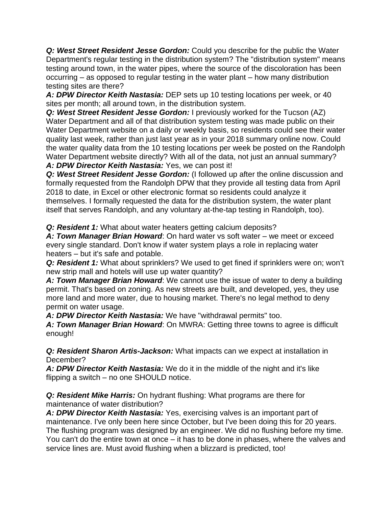*Q: West Street Resident Jesse Gordon:* Could you describe for the public the Water Department's regular testing in the distribution system? The "distribution system" means testing around town, in the water pipes, where the source of the discoloration has been occurring – as opposed to regular testing in the water plant – how many distribution testing sites are there?

*A: DPW Director Keith Nastasia:* DEP sets up 10 testing locations per week, or 40 sites per month; all around town, in the distribution system.

*Q: West Street Resident Jesse Gordon:* I previously worked for the Tucson (AZ) Water Department and all of that distribution system testing was made public on their Water Department website on a daily or weekly basis, so residents could see their water quality last week, rather than just last year as in your 2018 summary online now. Could the water quality data from the 10 testing locations per week be posted on the Randolph Water Department website directly? With all of the data, not just an annual summary? *A: DPW Director Keith Nastasia:* Yes, we can post it!

*Q: West Street Resident Jesse Gordon:* (I followed up after the online discussion and formally requested from the Randolph DPW that they provide all testing data from April 2018 to date, in Excel or other electronic format so residents could analyze it themselves. I formally requested the data for the distribution system, the water plant itself that serves Randolph, and any voluntary at-the-tap testing in Randolph, too).

*Q: Resident 1:* What about water heaters getting calcium deposits?

*A: Town Manager Brian Howard*: On hard water vs soft water – we meet or exceed every single standard. Don't know if water system plays a role in replacing water heaters – but it's safe and potable.

*Q: Resident 1:* What about sprinklers? We used to get fined if sprinklers were on; won't new strip mall and hotels will use up water quantity?

*A: Town Manager Brian Howard*: We cannot use the issue of water to deny a building permit. That's based on zoning. As new streets are built, and developed, yes, they use more land and more water, due to housing market. There's no legal method to deny permit on water usage.

*A: DPW Director Keith Nastasia:* We have "withdrawal permits" too.

*A: Town Manager Brian Howard*: On MWRA: Getting three towns to agree is difficult enough!

*Q: Resident Sharon Artis-Jackson:* What impacts can we expect at installation in December?

*A: DPW Director Keith Nastasia:* We do it in the middle of the night and it's like flipping a switch – no one SHOULD notice.

*Q: Resident Mike Harris:* On hydrant flushing: What programs are there for maintenance of water distribution?

*A: DPW Director Keith Nastasia:* Yes, exercising valves is an important part of maintenance. I've only been here since October, but I've been doing this for 20 years. The flushing program was designed by an engineer. We did no flushing before my time. You can't do the entire town at once – it has to be done in phases, where the valves and service lines are. Must avoid flushing when a blizzard is predicted, too!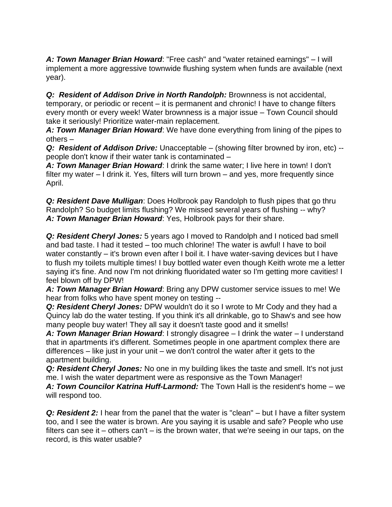*A: Town Manager Brian Howard*: "Free cash" and "water retained earnings" – I will implement a more aggressive townwide flushing system when funds are available (next year).

*Q: Resident of Addison Drive in North Randolph:* Brownness is not accidental, temporary, or periodic or recent – it is permanent and chronic! I have to change filters every month or every week! Water brownness is a major issue – Town Council should take it seriously! Prioritize water-main replacement.

*A: Town Manager Brian Howard*: We have done everything from lining of the pipes to others –

*Q: Resident of Addison Drive:* Unacceptable – (showing filter browned by iron, etc) - people don't know if their water tank is contaminated –

*A: Town Manager Brian Howard*: I drink the same water; I live here in town! I don't filter my water – I drink it. Yes, filters will turn brown – and yes, more frequently since April.

*Q: Resident Dave Mulligan*: Does Holbrook pay Randolph to flush pipes that go thru Randolph? So budget limits flushing? We missed several years of flushing -- why? *A: Town Manager Brian Howard*: Yes, Holbrook pays for their share.

*Q: Resident Cheryl Jones:* 5 years ago I moved to Randolph and I noticed bad smell and bad taste. I had it tested – too much chlorine! The water is awful! I have to boil water constantly – it's brown even after I boil it. I have water-saving devices but I have to flush my toilets multiple times! I buy bottled water even though Keith wrote me a letter saying it's fine. And now I'm not drinking fluoridated water so I'm getting more cavities! I feel blown off by DPW!

*A: Town Manager Brian Howard*: Bring any DPW customer service issues to me! We hear from folks who have spent money on testing --

*Q: Resident Cheryl Jones:* DPW wouldn't do it so I wrote to Mr Cody and they had a Quincy lab do the water testing. If you think it's all drinkable, go to Shaw's and see how many people buy water! They all say it doesn't taste good and it smells!

*A: Town Manager Brian Howard*: I strongly disagree – I drink the water – I understand that in apartments it's different. Sometimes people in one apartment complex there are differences – like just in your unit – we don't control the water after it gets to the apartment building.

*Q: Resident Cheryl Jones:* No one in my building likes the taste and smell. It's not just me. I wish the water department were as responsive as the Town Manager!

*A: Town Councilor Katrina Huff-Larmond:* The Town Hall is the resident's home – we will respond too.

*Q: Resident 2:* I hear from the panel that the water is "clean" – but I have a filter system too, and I see the water is brown. Are you saying it is usable and safe? People who use filters can see it – others can't – is the brown water, that we're seeing in our taps, on the record, is this water usable?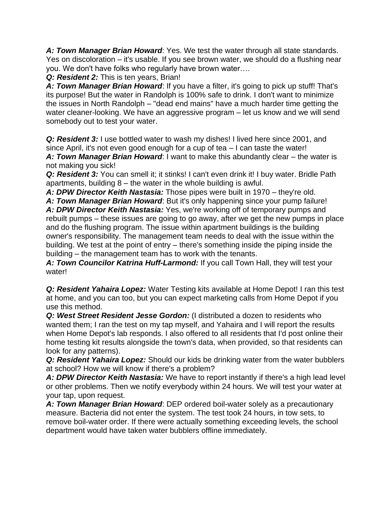*A: Town Manager Brian Howard*: Yes. We test the water through all state standards. Yes on discoloration – it's usable. If you see brown water, we should do a flushing near you. We don't have folks who regularly have brown water….

*Q: Resident 2:* This is ten years, Brian!

*A: Town Manager Brian Howard*: If you have a filter, it's going to pick up stuff! That's its purpose! But the water in Randolph is 100% safe to drink. I don't want to minimize the issues in North Randolph – "dead end mains" have a much harder time getting the water cleaner-looking. We have an aggressive program – let us know and we will send somebody out to test your water.

*Q: Resident 3:* I use bottled water to wash my dishes! I lived here since 2001, and since April, it's not even good enough for a cup of tea – I can taste the water! *A: Town Manager Brian Howard*: I want to make this abundantly clear – the water is

not making you sick! *Q: Resident 3:* You can smell it; it stinks! I can't even drink it! I buy water. Bridle Path apartments, building  $8 -$  the water in the whole building is awful.

*A: DPW Director Keith Nastasia:* Those pipes were built in 1970 – they're old.

*A: Town Manager Brian Howard*: But it's only happening since your pump failure!

*A: DPW Director Keith Nastasia:* Yes, we're working off of temporary pumps and rebuilt pumps – these issues are going to go away, after we get the new pumps in place and do the flushing program. The issue within apartment buildings is the building owner's responsibility. The management team needs to deal with the issue within the building. We test at the point of entry – there's something inside the piping inside the building – the management team has to work with the tenants.

*A: Town Councilor Katrina Huff-Larmond:* If you call Town Hall, they will test your water!

*Q: Resident Yahaira Lopez:* Water Testing kits available at Home Depot! I ran this test at home, and you can too, but you can expect marketing calls from Home Depot if you use this method.

*Q: West Street Resident Jesse Gordon:* (I distributed a dozen to residents who wanted them; I ran the test on my tap myself, and Yahaira and I will report the results when Home Depot's lab responds. I also offered to all residents that I'd post online their home testing kit results alongside the town's data, when provided, so that residents can look for any patterns).

*Q: Resident Yahaira Lopez:* Should our kids be drinking water from the water bubblers at school? How we will know if there's a problem?

*A: DPW Director Keith Nastasia:* We have to report instantly if there's a high lead level or other problems. Then we notify everybody within 24 hours. We will test your water at your tap, upon request.

*A: Town Manager Brian Howard*: DEP ordered boil-water solely as a precautionary measure. Bacteria did not enter the system. The test took 24 hours, in tow sets, to remove boil-water order. If there were actually something exceeding levels, the school department would have taken water bubblers offline immediately.